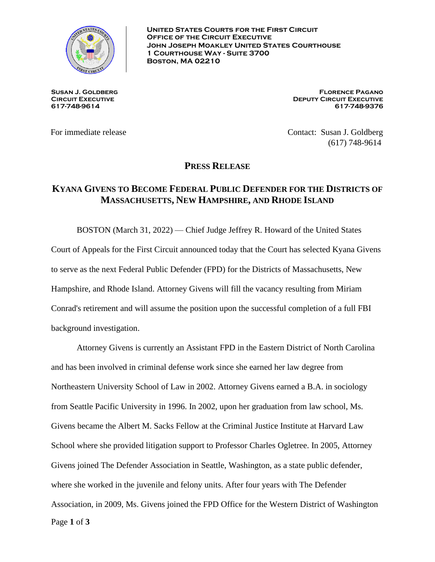

**United States Courts for the First Circuit Office of the Circuit Executive John Joseph Moakley United States Courthouse 1 Courthouse Way - Suite 3700 Boston, MA 02210**

**Susan J. Goldberg Circuit Executive 617-748-9614**

**Florence Pagano Deputy Circuit Executive 617-748-9376**

For immediate release Contact: Susan J. Goldberg (617) 748-9614

**PRESS RELEASE**

## **KYANA GIVENS TO BECOME FEDERAL PUBLIC DEFENDER FOR THE DISTRICTS OF MASSACHUSETTS, NEW HAMPSHIRE, AND RHODE ISLAND**

BOSTON (March 31, 2022) — Chief Judge Jeffrey R. Howard of the United States Court of Appeals for the First Circuit announced today that the Court has selected Kyana Givens to serve as the next Federal Public Defender (FPD) for the Districts of Massachusetts, New Hampshire, and Rhode Island. Attorney Givens will fill the vacancy resulting from Miriam Conrad's retirement and will assume the position upon the successful completion of a full FBI background investigation.

Page **1** of **3** Attorney Givens is currently an Assistant FPD in the Eastern District of North Carolina and has been involved in criminal defense work since she earned her law degree from Northeastern University School of Law in 2002. Attorney Givens earned a B.A. in sociology from Seattle Pacific University in 1996. In 2002, upon her graduation from law school, Ms. Givens became the Albert M. Sacks Fellow at the Criminal Justice Institute at Harvard Law School where she provided litigation support to Professor Charles Ogletree. In 2005, Attorney Givens joined The Defender Association in Seattle, Washington, as a state public defender, where she worked in the juvenile and felony units. After four years with The Defender Association, in 2009, Ms. Givens joined the FPD Office for the Western District of Washington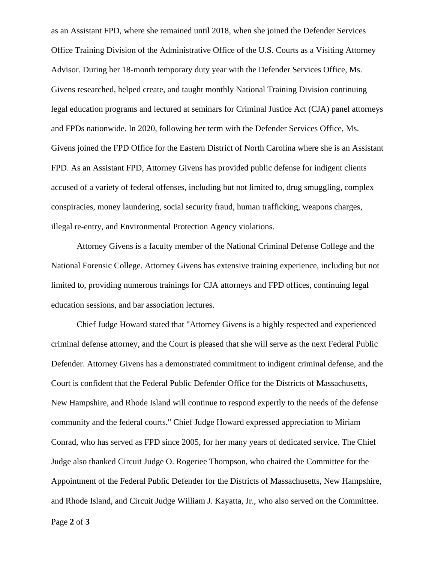as an Assistant FPD, where she remained until 2018, when she joined the Defender Services Office Training Division of the Administrative Office of the U.S. Courts as a Visiting Attorney Advisor. During her 18-month temporary duty year with the Defender Services Office, Ms. Givens researched, helped create, and taught monthly National Training Division continuing legal education programs and lectured at seminars for Criminal Justice Act (CJA) panel attorneys and FPDs nationwide. In 2020, following her term with the Defender Services Office, Ms. Givens joined the FPD Office for the Eastern District of North Carolina where she is an Assistant FPD. As an Assistant FPD, Attorney Givens has provided public defense for indigent clients accused of a variety of federal offenses, including but not limited to, drug smuggling, complex conspiracies, money laundering, social security fraud, human trafficking, weapons charges, illegal re-entry, and Environmental Protection Agency violations.

Attorney Givens is a faculty member of the National Criminal Defense College and the National Forensic College. Attorney Givens has extensive training experience, including but not limited to, providing numerous trainings for CJA attorneys and FPD offices, continuing legal education sessions, and bar association lectures.

Chief Judge Howard stated that "Attorney Givens is a highly respected and experienced criminal defense attorney, and the Court is pleased that she will serve as the next Federal Public Defender. Attorney Givens has a demonstrated commitment to indigent criminal defense, and the Court is confident that the Federal Public Defender Office for the Districts of Massachusetts, New Hampshire, and Rhode Island will continue to respond expertly to the needs of the defense community and the federal courts." Chief Judge Howard expressed appreciation to Miriam Conrad, who has served as FPD since 2005, for her many years of dedicated service. The Chief Judge also thanked Circuit Judge O. Rogeriee Thompson, who chaired the Committee for the Appointment of the Federal Public Defender for the Districts of Massachusetts, New Hampshire, and Rhode Island, and Circuit Judge William J. Kayatta, Jr., who also served on the Committee.